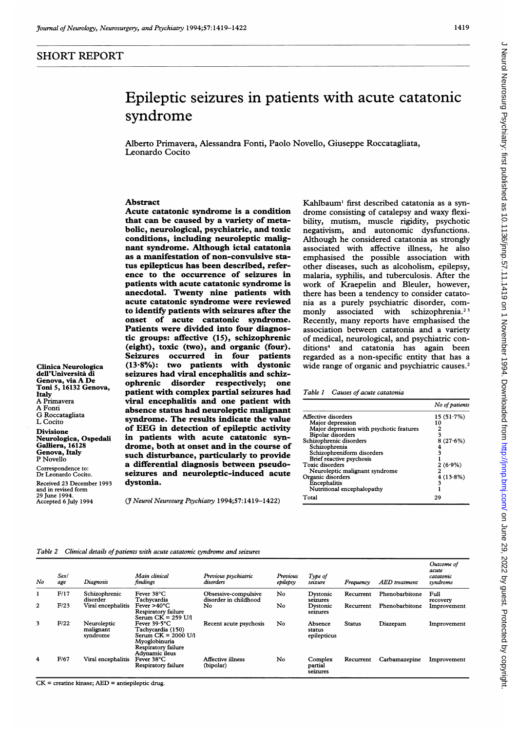## SHORT REPORT

Clinica Neurologica dell'Universita di Genova, via A De Toni 5, 16132 Genova,

Neurologica, Ospedali Galliera, 16128 Genova, Italy P Novello Correspondence to: Dr Leonardo Cocito. Received 23 December 1993 and in revised form 29 June 1994. Accepted 6 July 1994

Italy A Primavera A Fonti G Roccatagliata L Cocito Divisione

# Epileptic seizures in patients with acute catatonic syndrome

Alberto Primavera, Alessandra Fonti, Paolo Novello, Giuseppe Roccatagliata, Leonardo Cocito

## Abstract

Acute catatonic syndrome is a condition that can be caused by a variety of metabolic, neurological, psychiatric, and toxic conditions, including neuroleptic malignant syndrome. Although ictal catatonia as a manifestation of non-convulsive status epilepticus has been described, reference to the occurrence of seizures in patients with acute catatonic syndrome is anecdotal. Twenty nine patients with acute catatonic syndrome were reviewed to identify patients with seizures after the onset of acute catatonic syndrome. Patients were divided into four diagnostic groups: affective (15), schizophrenic (eight), toxic (two), and organic (four). Seizures occurred in four patients (13-8%): two patients with dystonic seizures had viral encephalitis and schizophrenic disorder respectively; one patient with complex partial seizures had viral encephalitis and one patient with absence status had neuroleptic malignant syndrome. The results indicate the value of EEG in detection of epileptic activity in patients with acute catatonic syndrome, both at onset and in the course of such disturbance, particularly to provide a differential diagnosis between pseudoseizures and neuroleptic-induced acute dystonia.

(J Neurol Neurosurg Psychiatry 1994;57: 1419-1422)

Kahlbaum<sup>1</sup> first described catatonia as a syndrome consisting of catalepsy and waxy flexibility, mutism, muscle rigidity, psychotic negativism, and autonomic dysfunctions. Although he considered catatonia as strongly associated with affective illness, he also emphasised the possible association with other diseases, such as alcoholism, epilepsy, malaria, syphilis, and tuberculosis. After the work of Kraepelin and Bleuler, however, there has been a tendency to consider catatonia as a purely psychiatric disorder, commonly associated with schizophrenia.<sup>23</sup> Recently, many reports have emphasised the association between catatonia and a variety of medical, neurological, and psychiatric conditions4 and catatonia has again been regarded as a non-specific entity that has a wide range of organic and psychiatric causes.<sup>2</sup>

#### Table 1 Causes of acute catatonia

|                                          | No of patients |
|------------------------------------------|----------------|
| Affective disorders                      | 15(51.7%)      |
| Major depression                         | 10             |
| Major depression with psychotic features |                |
| Bipolar disorders                        | 3              |
| Schizophrenic disorders                  | 8(27.6%)       |
| Schizophrenia                            | 4              |
| Schizophreniform disorders               |                |
| Brief reactive psychosis                 |                |
| Toxic disorders                          | $2(6.9\%)$     |
| Neuroleptic malignant syndrome           |                |
| Organic disorders                        | 4(13.8%)       |
| Encephalitis                             | 3              |
| Nutritional encephalopathy               |                |
| Total                                    | 29             |

#### Table 2 Clinical details of patients with acute catatonic syndrome and seizures

| No | Sex/<br>age | Diagnosis                            | Main clinical<br>findings                                                                                                             | Previous psychiatric<br>disorders             | Previous<br>epilepsy | Type of<br>seizure               | Frequency     | AED treatment  | Outcome of<br>acute<br>catatonic<br>syndrome |
|----|-------------|--------------------------------------|---------------------------------------------------------------------------------------------------------------------------------------|-----------------------------------------------|----------------------|----------------------------------|---------------|----------------|----------------------------------------------|
|    | F/17        | Schizophrenic<br>disorder            | Fever 38°C<br>Tachvcardia                                                                                                             | Obsessive-compulsive<br>disorder in childhood | No                   | Dystonic<br>seizures             | Recurrent     | Phenobarbitone | Full<br>recovery                             |
| 2  | F/23        | Viral encephalitis                   | Fever $>40^{\circ}$ C<br>Respiratory failure<br>Serum $CK = 259$ U/l                                                                  | No                                            | No                   | Dystonic<br>seizures             | Recurrent     | Phenobarbitone | Improvement                                  |
| 3  | F/22        | Neuroleptic<br>malignant<br>syndrome | Fever $39.5^{\circ}$ C<br>Tachycardia (150)<br>Serum $CK = 2000$ U/I<br>Mvoglobinuria<br><b>Respiratory failure</b><br>Advnamic ileus | Recent acute psychosis                        | No                   | Absence<br>status<br>epilepticus | <b>Status</b> | Diazepam       | Improvement                                  |
| 4  | F/67        | Viral encephalitis                   | Fever 38°C<br>Respiratory failure                                                                                                     | <b>Affective illness</b><br>(bipolar)         | No                   | Complex<br>partial<br>seizures   | Recurrent     | Carbamazepine  | Improvement                                  |

CK = creatine kinase; AED = antiepileptic drug.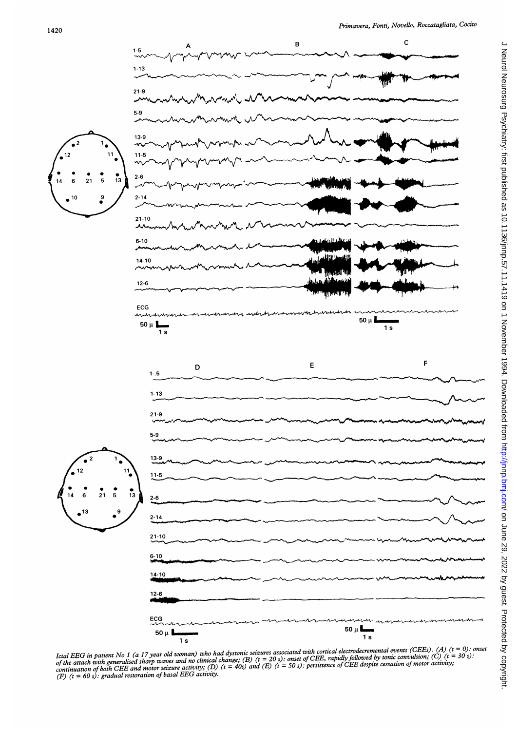

Ictal EEG in patient No 1 (a 17 year old woman) who had dystonic seizures associated with cortical electrodecremental events (CEEs). (A) (t = 0): onset<br>of the attack with generalised sharp waves and no clinical change; (B) (F)  $(t = 60 s)$ : gradual restoration of basal EEG activity.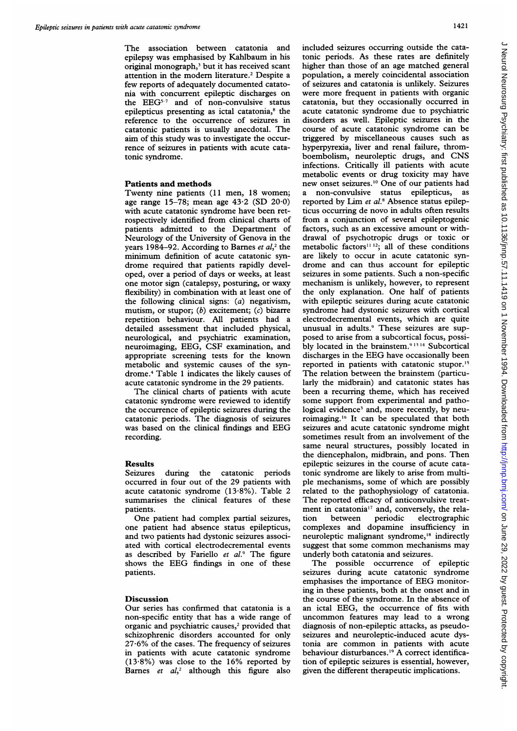The association between catatonia and epilepsy was emphasised by Kahlbaum in his original monograph,3 but it has received scant attention in the modem literature.2 Despite <sup>a</sup> few reports of adequately documented catatonia with concurrent epileptic discharges on the EEG5-7 and of non-convulsive status epilepticus presenting as ictal catatonia,<sup>8</sup> the reference to the occurrence of seizures in catatonic patients is usually anecdotal. The aim of this study was to investigate the occurrence of seizures in patients with acute catatonic syndrome.

## Patients and methods

Twenty nine patients (11 men, 18 women; age range 15-78; mean age  $43.2$  (SD  $20.0$ ) with acute catatonic syndrome have been retrospectively identified from clinical charts of patients admitted to the Department of Neurology of the University of Genova in the vears 1984–92. According to Barnes et  $al$ ,<sup>2</sup> the minimum definition of acute catatonic syndrome required that patients rapidly developed, over a period of days or weeks, at least one motor sign (catalepsy, posturing, or waxy flexibility) in combination with at least one of the following clinical signs: (a) negativism, mutism, or stupor;  $(b)$  excitement;  $(c)$  bizarre repetition behaviour. All patients had a detailed assessment that included physical, neurological, and psychiatric examination, neuroimaging, EEG, CSF examination, and appropriate screening tests for the known metabolic and systemic causes of the syndrome.4 Table <sup>1</sup> indicates the likely causes of acute catatonic syndrome in the 29 patients.

The clinical charts of patients with acute catatonic syndrome were reviewed to identify the occurrence of epileptic seizures during the catatonic periods. The diagnosis of seizures was based on the clinical findings and EEG recording.

## Results

Seizures during the catatonic periods occurred in four out of the 29 patients with acute catatonic syndrome (13-8%). Table 2 summarises the clinical features of these patients.

One patient had complex partial seizures, one patient had absence status epilepticus, and two patients had dystonic seizures associated with cortical electrodecremental events as described by Fariello  $et$   $al.^{9}$  The figure shows the EEG findings in one of these patients.

### **Discussion**

Our series has confirmed that catatonia is a non-specific entity that has a wide range of organic and psychiatric causes,<sup>2</sup> provided that schizophrenic disorders accounted for only 27-6% of the cases. The frequency of seizures in patients with acute catatonic syndrome  $(13.8\%)$  was close to the 16% reported by Barnes et  $al$ ,<sup>2</sup> although this figure also

included seizures occurring outside the catatonic periods. As these rates are definitely higher than those of an age matched general population, a merely coincidental association of seizures and catatonia is unlikely. Seizures were more frequent in patients with organic catatonia, but they occasionally occurred in acute catatonic syndrome due to psychiatric disorders as well. Epileptic seizures in the course of acute catatonic syndrome can be triggered by miscellaneous causes such as hyperpyrexia, liver and renal failure, thromboembolism, neuroleptic drugs, and CNS infections. Critically ill patients with acute metabolic events or drug toxicity may have new onset seizures.'0 One of our patients had a non-convulsive status epilepticus, as reported by Lim et al.<sup>8</sup> Absence status epilepticus occurring de novo in adults often results from a conjunction of several epileptogenic factors, such as an excessive amount or withdrawal of psychotropic drugs or toxic or metabolic factors<sup> $11 12$ </sup>; all of these conditions are likely to occur in acute catatonic syndrome and can thus account for epileptic seizures in some patients. Such a non-specific mechanism is unlikely, however, to represent the only explanation. One half of patients with epileptic seizures during acute catatonic syndrome had dystonic seizures with cortical electrodecremental events, which are quite unusual in adults.9 These seizures are supposed to arise from a subcortical focus, possibly located in the brainstem.<sup>91314</sup> Subcortical discharges in the EEG have occasionally been reported in patients with catatonic stupor.'5 The relation between the brainstem (particularly the midbrain) and catatonic states has been a recurring theme, which has received some support from experimental and pathological evidence<sup>3</sup> and, more recently, by neuroimaging.'' It can be speculated that both seizures and acute catatonic syndrome might sometimes result from an involvement of the same neural structures, possibly located in the diencephalon, midbrain, and pons. Then epileptic seizures in the course of acute catatonic syndrome are likely to arise from multiple mechanisms, some of which are possibly related to the pathophysiology of catatonia. The reported efficacy of anticonvulsive treatment in catatonia<sup>17</sup> and, conversely, the relation between periodic electrographic complexes and dopamine insufficiency in neuroleptic malignant syndrome,'8 indirectly suggest that some common mechanisms may underly both catatonia and seizures.

The possible occurrence of epileptic seizures during acute catatonic syndrome emphasises the importance of EEG monitoring in these patients, both at the onset and in the course of the syndrome. In the absence of an ictal EEG, the occurrence of fits with uncommon features may lead to <sup>a</sup> wrong diagnosis of non-epileptic attacks, as pseudoseizures and neuroleptic-induced acute dystonia are common in patients with acute behaviour disturbances.<sup>19</sup> A correct identification of epileptic seizures is essential, however, given the different therapeutic implications.